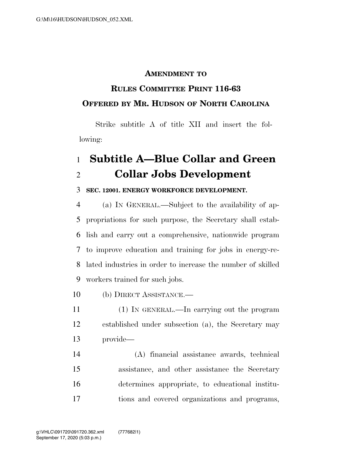## **AMENDMENT TO**

## **RULES COMMITTEE PRINT 116-63 OFFERED BY MR. HUDSON OF NORTH CAROLINA**

Strike subtitle A of title XII and insert the following:

## **Subtitle A—Blue Collar and Green Collar Jobs Development**

## **SEC. 12001. ENERGY WORKFORCE DEVELOPMENT.**

 (a) IN GENERAL.—Subject to the availability of ap- propriations for such purpose, the Secretary shall estab- lish and carry out a comprehensive, nationwide program to improve education and training for jobs in energy-re- lated industries in order to increase the number of skilled workers trained for such jobs.

- (b) DIRECT ASSISTANCE.—
- (1) IN GENERAL.—In carrying out the program established under subsection (a), the Secretary may provide—
- (A) financial assistance awards, technical assistance, and other assistance the Secretary determines appropriate, to educational institu-tions and covered organizations and programs,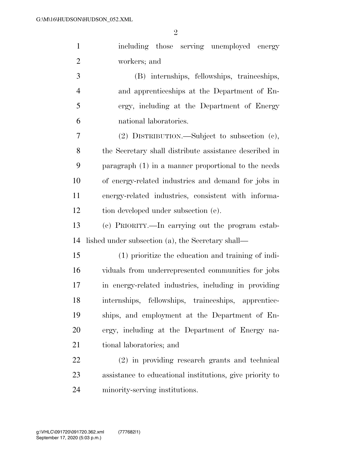| 1              | including those serving unemployed energy              |
|----------------|--------------------------------------------------------|
| $\overline{2}$ | workers; and                                           |
| 3              | (B) internships, fellowships, traineeships,            |
| $\overline{4}$ | and apprenticeships at the Department of En-           |
| 5              | ergy, including at the Department of Energy            |
| 6              | national laboratories.                                 |
| 7              | $(2)$ DISTRIBUTION.—Subject to subsection $(e)$ ,      |
| 8              | the Secretary shall distribute assistance described in |
| 9              | paragraph (1) in a manner proportional to the needs    |
| 10             | of energy-related industries and demand for jobs in    |
| 11             | energy-related industries, consistent with informa-    |

12 tion developed under subsection (e).

 (c) PRIORITY.—In carrying out the program estab-lished under subsection (a), the Secretary shall—

 (1) prioritize the education and training of indi- viduals from underrepresented communities for jobs in energy-related industries, including in providing internships, fellowships, traineeships, apprentice- ships, and employment at the Department of En- ergy, including at the Department of Energy na-tional laboratories; and

 (2) in providing research grants and technical assistance to educational institutions, give priority to minority-serving institutions.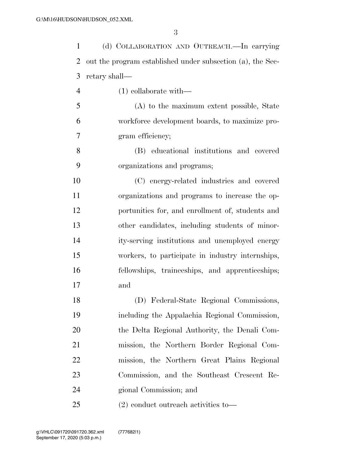| $\mathbf{1}$   | (d) COLLABORATION AND OUTREACH.-In carrying                |
|----------------|------------------------------------------------------------|
| $\overline{2}$ | out the program established under subsection (a), the Sec- |
| 3              | retary shall—                                              |
| $\overline{4}$ | $(1)$ collaborate with—                                    |
| 5              | (A) to the maximum extent possible, State                  |
| 6              | workforce development boards, to maximize pro-             |
| 7              | gram efficiency;                                           |
| 8              | (B) educational institutions and covered                   |
| 9              | organizations and programs;                                |
| 10             | (C) energy-related industries and covered                  |
| 11             | organizations and programs to increase the op-             |
| 12             | portunities for, and enrollment of, students and           |
| 13             | other candidates, including students of minor-             |
| 14             | ity-serving institutions and unemployed energy             |
| 15             | workers, to participate in industry internships,           |
| 16             | fellowships, traineeships, and apprenticeships;            |
| 17             | and                                                        |
| 18             | (D) Federal-State Regional Commissions,                    |
| 19             | including the Appalachia Regional Commission,              |
| 20             | the Delta Regional Authority, the Denali Com-              |
| 21             | mission, the Northern Border Regional Com-                 |
| 22             | mission, the Northern Great Plains Regional                |
| 23             | Commission, and the Southeast Crescent Re-                 |
| 24             | gional Commission; and                                     |
|                |                                                            |

(2) conduct outreach activities to—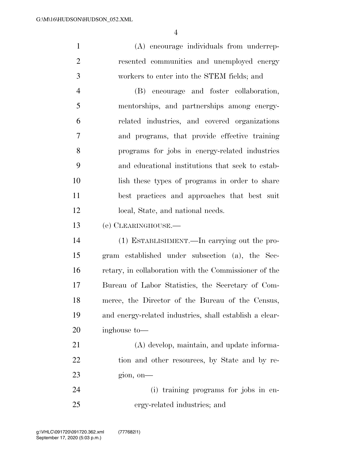(A) encourage individuals from underrep- resented communities and unemployed energy workers to enter into the STEM fields; and

 (B) encourage and foster collaboration, mentorships, and partnerships among energy- related industries, and covered organizations and programs, that provide effective training programs for jobs in energy-related industries and educational institutions that seek to estab- lish these types of programs in order to share best practices and approaches that best suit 12 local, State, and national needs.

(e) CLEARINGHOUSE.—

 (1) ESTABLISHMENT.—In carrying out the pro- gram established under subsection (a), the Sec- retary, in collaboration with the Commissioner of the Bureau of Labor Statistics, the Secretary of Com- merce, the Director of the Bureau of the Census, and energy-related industries, shall establish a clear-inghouse to—

 (A) develop, maintain, and update informa-22 tion and other resources, by State and by re-gion, on—

 (i) training programs for jobs in en-ergy-related industries; and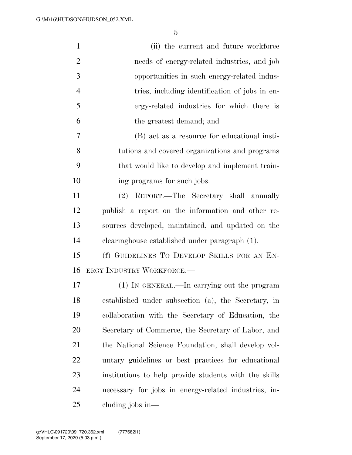| $\mathbf{1}$   | (ii) the current and future workforce                 |
|----------------|-------------------------------------------------------|
| $\overline{2}$ | needs of energy-related industries, and job           |
| 3              | opportunities in such energy-related indus-           |
| $\overline{4}$ | tries, including identification of jobs in en-        |
| 5              | ergy-related industries for which there is            |
| 6              | the greatest demand; and                              |
| 7              | (B) act as a resource for educational insti-          |
| 8              | tutions and covered organizations and programs        |
| 9              | that would like to develop and implement train-       |
| 10             | ing programs for such jobs.                           |
| 11             | REPORT.—The Secretary shall annually<br>(2)           |
| 12             | publish a report on the information and other re-     |
| 13             | sources developed, maintained, and updated on the     |
| 14             | clearinghouse established under paragraph (1).        |
| 15             | (f) GUIDELINES TO DEVELOP SKILLS FOR AN EN-           |
| 16             | ERGY INDUSTRY WORKFORCE.                              |
| 17             | (1) IN GENERAL.—In carrying out the program           |
| 18             | established under subsection (a), the Secretary, in   |
| 19             | collaboration with the Secretary of Education, the    |
| 20             | Secretary of Commerce, the Secretary of Labor, and    |
| 21             | the National Science Foundation, shall develop vol-   |
| 22             | untary guidelines or best practices for educational   |
| 23             | institutions to help provide students with the skills |
| 24             | necessary for jobs in energy-related industries, in-  |
| 25             | cluding jobs in—                                      |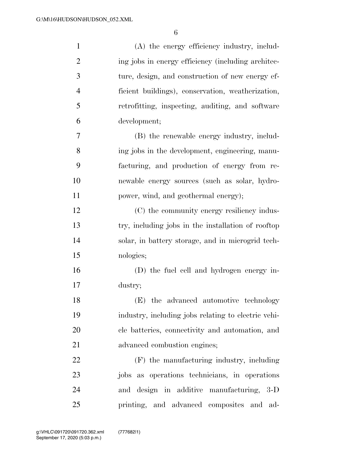| $\mathbf{1}$   | (A) the energy efficiency industry, includ-         |
|----------------|-----------------------------------------------------|
| $\overline{2}$ | ing jobs in energy efficiency (including architec-  |
| 3              | ture, design, and construction of new energy ef-    |
| $\overline{4}$ | ficient buildings), conservation, weatherization,   |
| 5              | retrofitting, inspecting, auditing, and software    |
| 6              | development;                                        |
| 7              | (B) the renewable energy industry, includ-          |
| 8              | ing jobs in the development, engineering, manu-     |
| 9              | facturing, and production of energy from re-        |
| 10             | newable energy sources (such as solar, hydro-       |
| 11             | power, wind, and geothermal energy);                |
| 12             | (C) the community energy resiliency indus-          |
| 13             | try, including jobs in the installation of rooftop  |
| 14             | solar, in battery storage, and in microgrid tech-   |
| 15             | nologies;                                           |
| 16             | (D) the fuel cell and hydrogen energy in-           |
| 17             | dustry;                                             |
| 18             | (E) the advanced automotive technology              |
| 19             | industry, including jobs relating to electric vehi- |
| 20             | cle batteries, connectivity and automation, and     |
| 21             | advanced combustion engines;                        |
| 22             | (F) the manufacturing industry, including           |
| 23             | jobs as operations technicians, in operations       |
| 24             | and design in additive manufacturing, 3-D           |
| 25             | printing, and advanced composites and<br>ad-        |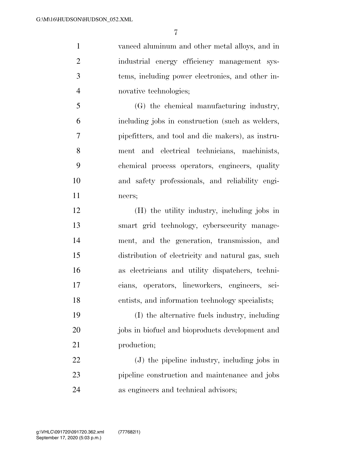vanced aluminum and other metal alloys, and in industrial energy efficiency management sys- tems, including power electronics, and other in-novative technologies;

 (G) the chemical manufacturing industry, including jobs in construction (such as welders, pipefitters, and tool and die makers), as instru- ment and electrical technicians, machinists, chemical process operators, engineers, quality and safety professionals, and reliability engi-neers;

 (H) the utility industry, including jobs in smart grid technology, cybersecurity manage- ment, and the generation, transmission, and distribution of electricity and natural gas, such as electricians and utility dispatchers, techni- cians, operators, lineworkers, engineers, sci-entists, and information technology specialists;

 (I) the alternative fuels industry, including 20 jobs in biofuel and bioproducts development and production;

 (J) the pipeline industry, including jobs in pipeline construction and maintenance and jobs as engineers and technical advisors;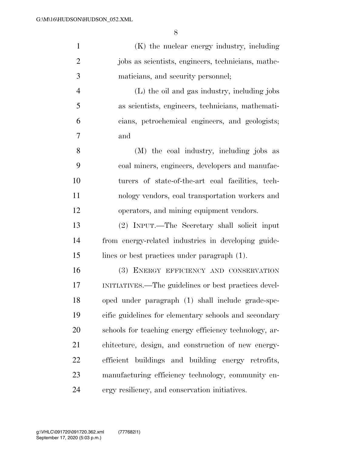(K) the nuclear energy industry, including

| $\mathbf{2}$   | jobs as scientists, engineers, technicians, mathe-     |
|----------------|--------------------------------------------------------|
| 3              | maticians, and security personnel;                     |
| $\overline{4}$ | (L) the oil and gas industry, including jobs           |
| 5              | as scientists, engineers, technicians, mathemati-      |
| 6              | cians, petrochemical engineers, and geologists;        |
| 7              | and                                                    |
| 8              | (M) the coal industry, including jobs as               |
| 9              | coal miners, engineers, developers and manufac-        |
| 10             | turers of state-of-the-art coal facilities, tech-      |
| 11             | nology vendors, coal transportation workers and        |
| 12             | operators, and mining equipment vendors.               |
| 13             | (2) INPUT.—The Secretary shall solicit input           |
| 14             | from energy-related industries in developing guide-    |
| 15             | lines or best practices under paragraph (1).           |
| 16             | (3) ENERGY EFFICIENCY AND CONSERVATION                 |
| 17             | INITIATIVES.—The guidelines or best practices devel-   |
| 18             | oped under paragraph (1) shall include grade-spe-      |
| 19             | cific guidelines for elementary schools and secondary  |
| 20             | schools for teaching energy efficiency technology, ar- |
| 21             | chitecture, design, and construction of new energy-    |
| 22             | efficient buildings and building energy retrofits,     |
| 23             | manufacturing efficiency technology, community en-     |
| 24             | ergy resiliency, and conservation initiatives.         |
|                |                                                        |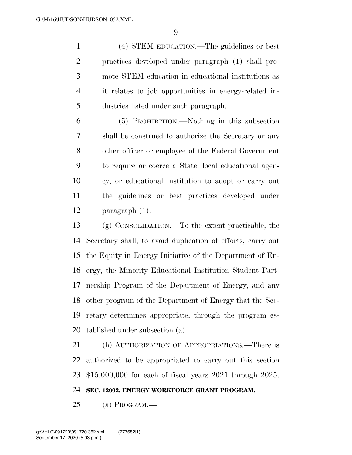(4) STEM EDUCATION.—The guidelines or best practices developed under paragraph (1) shall pro- mote STEM education in educational institutions as it relates to job opportunities in energy-related in-dustries listed under such paragraph.

 (5) PROHIBITION.—Nothing in this subsection shall be construed to authorize the Secretary or any other officer or employee of the Federal Government to require or coerce a State, local educational agen- cy, or educational institution to adopt or carry out the guidelines or best practices developed under paragraph (1).

 (g) CONSOLIDATION.—To the extent practicable, the Secretary shall, to avoid duplication of efforts, carry out the Equity in Energy Initiative of the Department of En- ergy, the Minority Educational Institution Student Part- nership Program of the Department of Energy, and any other program of the Department of Energy that the Sec- retary determines appropriate, through the program es-tablished under subsection (a).

 (h) AUTHORIZATION OF APPROPRIATIONS.—There is authorized to be appropriated to carry out this section \$15,000,000 for each of fiscal years 2021 through 2025.

**SEC. 12002. ENERGY WORKFORCE GRANT PROGRAM.** 

(a) PROGRAM.—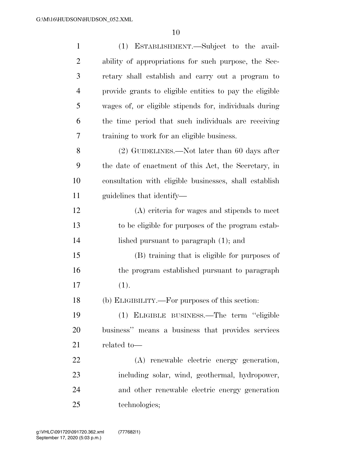| $\mathbf{1}$ | (1) ESTABLISHMENT.—Subject to the avail-                |
|--------------|---------------------------------------------------------|
| 2            | ability of appropriations for such purpose, the Sec-    |
| 3            | retary shall establish and carry out a program to       |
| 4            | provide grants to eligible entities to pay the eligible |
| 5            | wages of, or eligible stipends for, individuals during  |
| 6            | the time period that such individuals are receiving     |
| 7            | training to work for an eligible business.              |
| 8            | (2) GUIDELINES.—Not later than 60 days after            |
| 9            | the date of enactment of this Act, the Secretary, in    |
| 10           | consultation with eligible businesses, shall establish  |
| 11           | guidelines that identify—                               |
| 12           | (A) criteria for wages and stipends to meet             |
| 13           | to be eligible for purposes of the program estab-       |
| 14           | lished pursuant to paragraph $(1)$ ; and                |
| 15           | (B) training that is eligible for purposes of           |
| 16           | the program established pursuant to paragraph           |
| 17           | (1).                                                    |
| 18           | (b) ELIGIBILITY.—For purposes of this section:          |
| 19           | (1) ELIGIBLE BUSINESS.—The term "eligible               |
| 20           | business" means a business that provides services       |
| 21           | related to-                                             |
| 22           | (A) renewable electric energy generation,               |
| 23           | including solar, wind, geothermal, hydropower,          |
| 24           | and other renewable electric energy generation          |
| 25           | technologies;                                           |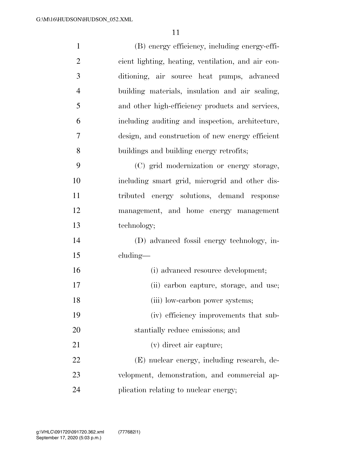| $\mathbf{1}$   | (B) energy efficiency, including energy-effi-      |
|----------------|----------------------------------------------------|
| $\overline{2}$ | cient lighting, heating, ventilation, and air con- |
| 3              | ditioning, air source heat pumps, advanced         |
| $\overline{4}$ | building materials, insulation and air sealing,    |
| 5              | and other high-efficiency products and services,   |
| 6              | including auditing and inspection, architecture,   |
| 7              | design, and construction of new energy efficient   |
| 8              | buildings and building energy retrofits;           |
| 9              | (C) grid modernization or energy storage,          |
| 10             | including smart grid, microgrid and other dis-     |
| 11             | tributed energy solutions, demand response         |
| 12             | management, and home energy management             |
| 13             | technology;                                        |
| 14             | (D) advanced fossil energy technology, in-         |
| 15             | cluding—                                           |
| 16             | (i) advanced resource development;                 |
| 17             | (ii) carbon capture, storage, and use;             |
| 18             | (iii) low-carbon power systems;                    |
| 19             | (iv) efficiency improvements that sub-             |
| 20             | stantially reduce emissions; and                   |
| 21             | (v) direct air capture;                            |
| 22             | (E) nuclear energy, including research, de-        |
| 23             | velopment, demonstration, and commercial ap-       |
| 24             | plication relating to nuclear energy;              |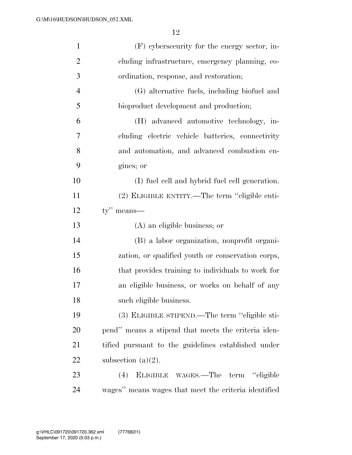| $\mathbf{1}$   | $(F)$ cybers ecurity for the energy sector, in-     |
|----------------|-----------------------------------------------------|
| $\overline{2}$ | cluding infrastructure, emergency planning, co-     |
| 3              | ordination, response, and restoration;              |
| $\overline{4}$ | (G) alternative fuels, including biofuel and        |
| 5              | bioproduct development and production;              |
| 6              | (H) advanced automotive technology, in-             |
| 7              | cluding electric vehicle batteries, connectivity    |
| 8              | and automation, and advanced combustion en-         |
| 9              | gines; or                                           |
| 10             | (I) fuel cell and hybrid fuel cell generation.      |
| 11             | (2) ELIGIBLE ENTITY.—The term "eligible enti-       |
| 12             | $ty''$ means—                                       |
|                |                                                     |
| 13             | (A) an eligible business; or                        |
| 14             | (B) a labor organization, nonprofit organi-         |
| 15             | zation, or qualified youth or conservation corps,   |
| 16             | that provides training to individuals to work for   |
| 17             | an eligible business, or works on behalf of any     |
| 18             | such eligible business.                             |
| 19             | (3) ELIGIBLE STIPEND.—The term "eligible sti-       |
| 20             | pend" means a stipend that meets the criteria iden- |
| 21             | tified pursuant to the guidelines established under |
| 22             | subsection $(a)(2)$ .                               |
| 23             | ELIGIBLE WAGES.—The term "eligible<br>(4)           |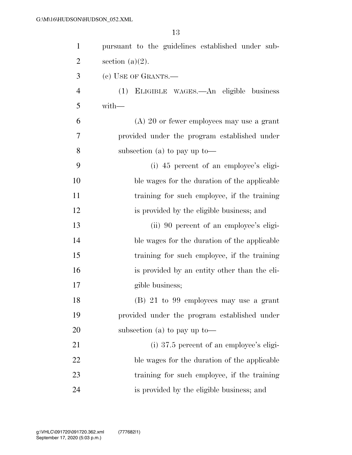| $\mathbf{1}$   | pursuant to the guidelines established under sub-    |
|----------------|------------------------------------------------------|
| $\overline{2}$ | section $(a)(2)$ .                                   |
| 3              | (c) USE OF GRANTS.—                                  |
| $\overline{4}$ | ELIGIBLE WAGES.—An eligible business<br>(1)          |
| 5              | with-                                                |
| 6              | $(A)$ 20 or fewer employees may use a grant          |
| 7              | provided under the program established under         |
| 8              | subsection (a) to pay up to $\rightarrow$            |
| 9              | (i) 45 percent of an employee's eligi-               |
| 10             | ble wages for the duration of the applicable         |
| 11             | training for such employee, if the training          |
| 12             | is provided by the eligible business; and            |
| 13             | (ii) 90 percent of an employee's eligi-              |
| 14             | ble wages for the duration of the applicable         |
| 15             | training for such employee, if the training          |
| 16             | is provided by an entity other than the eli-         |
| 17             | gible business;                                      |
| 18             | (B) 21 to 99 employees may use a grant               |
| 19             | provided under the program established under         |
| <b>20</b>      | subsection (a) to pay up to $\overline{\phantom{a}}$ |
| 21             | $(i)$ 37.5 percent of an employee's eligi-           |
| 22             | ble wages for the duration of the applicable         |
| 23             | training for such employee, if the training          |
| 24             | is provided by the eligible business; and            |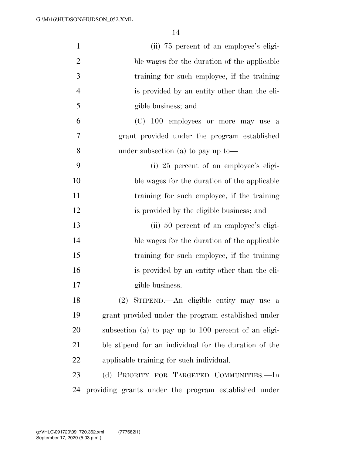| $\mathbf{1}$   | (ii) 75 percent of an employee's eligi-               |
|----------------|-------------------------------------------------------|
| $\overline{2}$ | ble wages for the duration of the applicable          |
| 3              | training for such employee, if the training           |
| $\overline{4}$ | is provided by an entity other than the eli-          |
| 5              | gible business; and                                   |
| 6              | (C) 100 employees or more may use a                   |
| 7              | grant provided under the program established          |
| 8              | under subsection (a) to pay up to —                   |
| 9              | (i) 25 percent of an employee's eligi-                |
| 10             | ble wages for the duration of the applicable          |
| 11             | training for such employee, if the training           |
| 12             | is provided by the eligible business; and             |
| 13             | (ii) 50 percent of an employee's eligi-               |
| 14             | ble wages for the duration of the applicable          |
| 15             | training for such employee, if the training           |
| 16             | is provided by an entity other than the eli-          |
| 17             | gible business.                                       |
| 18             | (2) STIPEND.—An eligible entity may use a             |
| 19             | grant provided under the program established under    |
| 20             | subsection (a) to pay up to 100 percent of an eligi-  |
| 21             | ble stipend for an individual for the duration of the |
| 22             | applicable training for such individual.              |
| 23             | (d) PRIORITY FOR TARGETED COMMUNITIES.-In             |
| 24             | providing grants under the program established under  |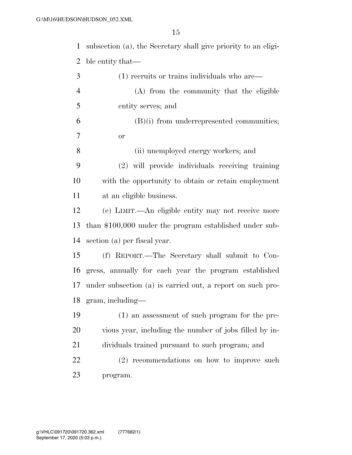subsection (a), the Secretary shall give priority to an eligi-ble entity that—

| 3              | $(1)$ recruits or trains individuals who are—              |
|----------------|------------------------------------------------------------|
| $\overline{4}$ | (A) from the community that the eligible                   |
| 5              | entity serves; and                                         |
| 6              | $(B)(i)$ from underrepresented communities;                |
| $\tau$         | or                                                         |
| 8              | (ii) unemployed energy workers; and                        |
| 9              | (2) will provide individuals receiving training            |
| 10             | with the opportunity to obtain or retain employment        |
| 11             | at an eligible business.                                   |
| 12             | (e) LIMIT.—An eligible entity may not receive more         |
| 13             | than $$100,000$ under the program established under sub-   |
| 14             | section (a) per fiscal year.                               |
| 15             | (f) REPORT.—The Secretary shall submit to Con-             |
| 16             | gress, annually for each year the program established      |
| 17             | under subsection (a) is carried out, a report on such pro- |
| 18             | $gram$ , including—                                        |
| 19             | (1) an assessment of such program for the pre-             |
| 20             | vious year, including the number of jobs filled by in-     |
| 21             | dividuals trained pursuant to such program; and            |
| 22             | (2) recommendations on how to improve such                 |
| 23             | program.                                                   |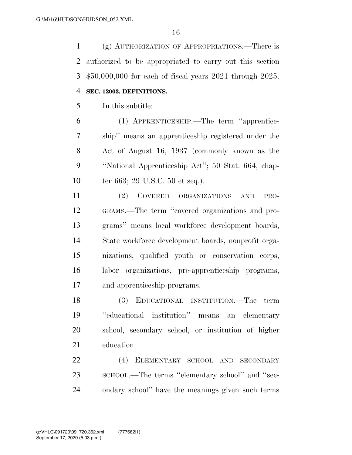(g) AUTHORIZATION OF APPROPRIATIONS.—There is authorized to be appropriated to carry out this section \$50,000,000 for each of fiscal years 2021 through 2025. **SEC. 12003. DEFINITIONS.** 

In this subtitle:

 (1) APPRENTICESHIP.—The term ''apprentice- ship'' means an apprenticeship registered under the Act of August 16, 1937 (commonly known as the ''National Apprenticeship Act''; 50 Stat. 664, chap-10 ter 663; 29 U.S.C. 50 et seq.).

 (2) COVERED ORGANIZATIONS AND PRO- GRAMS.—The term ''covered organizations and pro- grams'' means local workforce development boards, State workforce development boards, nonprofit orga- nizations, qualified youth or conservation corps, labor organizations, pre-apprenticeship programs, and apprenticeship programs.

 (3) EDUCATIONAL INSTITUTION.—The term ''educational institution'' means an elementary school, secondary school, or institution of higher education.

 (4) ELEMENTARY SCHOOL AND SECONDARY 23 SCHOOL.—The terms "elementary school" and "sec-ondary school'' have the meanings given such terms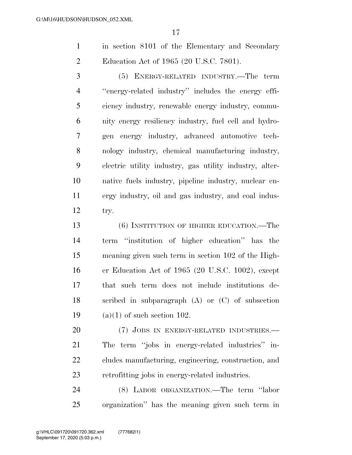in section 8101 of the Elementary and Secondary Education Act of 1965 (20 U.S.C. 7801).

 (5) ENERGY-RELATED INDUSTRY.—The term ''energy-related industry'' includes the energy effi- ciency industry, renewable energy industry, commu- nity energy resiliency industry, fuel cell and hydro- gen energy industry, advanced automotive tech- nology industry, chemical manufacturing industry, electric utility industry, gas utility industry, alter- native fuels industry, pipeline industry, nuclear en- ergy industry, oil and gas industry, and coal indus-try.

 (6) INSTITUTION OF HIGHER EDUCATION.—The term ''institution of higher education'' has the meaning given such term in section 102 of the High- er Education Act of 1965 (20 U.S.C. 1002), except that such term does not include institutions de- scribed in subparagraph (A) or (C) of subsection 19 (a)(1) of such section 102.

20 (7) JOBS IN ENERGY-RELATED INDUSTRIES.— The term ''jobs in energy-related industries'' in- cludes manufacturing, engineering, construction, and retrofitting jobs in energy-related industries.

 (8) LABOR ORGANIZATION.—The term ''labor organization'' has the meaning given such term in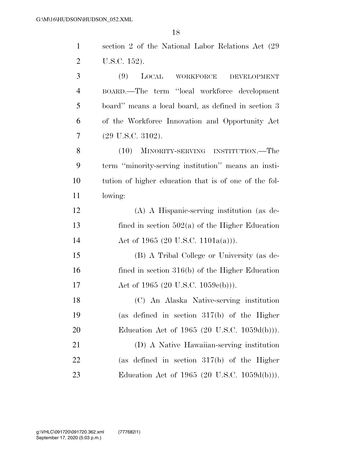| $\mathbf{1}$   | section 2 of the National Labor Relations Act (29)    |
|----------------|-------------------------------------------------------|
| $\overline{2}$ | U.S.C. 152).                                          |
| 3              | (9)<br>LOCAL<br>WORKFORCE<br><b>DEVELOPMENT</b>       |
| $\overline{4}$ | BOARD.—The term "local workforce development"         |
| 5              | board" means a local board, as defined in section 3   |
| 6              | of the Workforce Innovation and Opportunity Act       |
| 7              | $(29 \text{ U.S.C. } 3102).$                          |
| 8              | (10) MINORITY-SERVING INSTITUTION.—The                |
| 9              | term "minority-serving institution" means an insti-   |
| 10             | tution of higher education that is of one of the fol- |
| 11             | lowing:                                               |
| 12             | (A) A Hispanic-serving institution (as de-            |
| 13             | fined in section $502(a)$ of the Higher Education     |
| 14             | Act of 1965 (20 U.S.C. 1101a(a))).                    |
| 15             | (B) A Tribal College or University (as de-            |
| 16             | fined in section $316(b)$ of the Higher Education     |
| 17             | Act of 1965 (20 U.S.C. 1059 $e(b)$ )).                |
| 18             | (C) An Alaska Native-serving institution              |
| 19             | (as defined in section $317(b)$ of the Higher         |
| 20             | Education Act of 1965 (20 U.S.C. 1059d(b))).          |
| 21             | (D) A Native Hawaiian-serving institution             |
| 22             | (as defined in section $317(b)$ of the Higher         |
| 23             | Education Act of 1965 (20 U.S.C. 1059d(b))).          |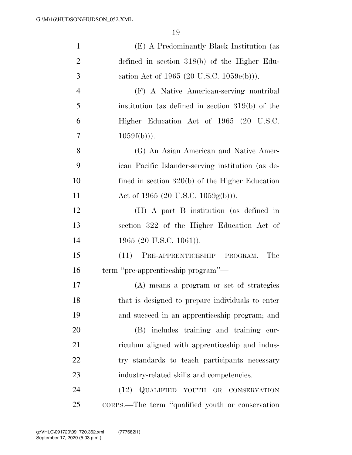| $\mathbf{1}$   | (E) A Predominantly Black Institution (as            |
|----------------|------------------------------------------------------|
| $\overline{2}$ | defined in section $318(b)$ of the Higher Edu-       |
| 3              | cation Act of 1965 (20 U.S.C. $1059e(b)$ )).         |
| $\overline{4}$ | (F) A Native American-serving nontribal              |
| 5              | institution (as defined in section $319(b)$ ) of the |
| 6              | Higher Education Act of 1965 (20 U.S.C.              |
| 7              | $1059f(b))$ .                                        |
| 8              | (G) An Asian American and Native Amer-               |
| 9              | ican Pacific Islander-serving institution (as de-    |
| 10             | fined in section $320(b)$ of the Higher Education    |
| 11             | Act of 1965 (20 U.S.C. 1059g(b))).                   |
| 12             | (H) A part B institution (as defined in              |
| 13             | section 322 of the Higher Education Act of           |
| 14             | 1965 (20 U.S.C. 1061)).                              |
| 15             | (11) PRE-APPRENTICESHIP PROGRAM.—The                 |
| 16             | term "pre-apprenticeship program"—                   |
| 17             | (A) means a program or set of strategies             |
| 18             | that is designed to prepare individuals to enter     |
| 19             | and succeed in an apprenticeship program; and        |
| 20             | (B) includes training and training cur-              |
| 21             | riculum aligned with apprenticeship and indus-       |
| 22             | try standards to teach participants necessary        |
| 23             | industry-related skills and competencies.            |
| 24             | (12) QUALIFIED YOUTH OR CONSERVATION                 |
| 25             | CORPS.—The term "qualified youth or conservation"    |